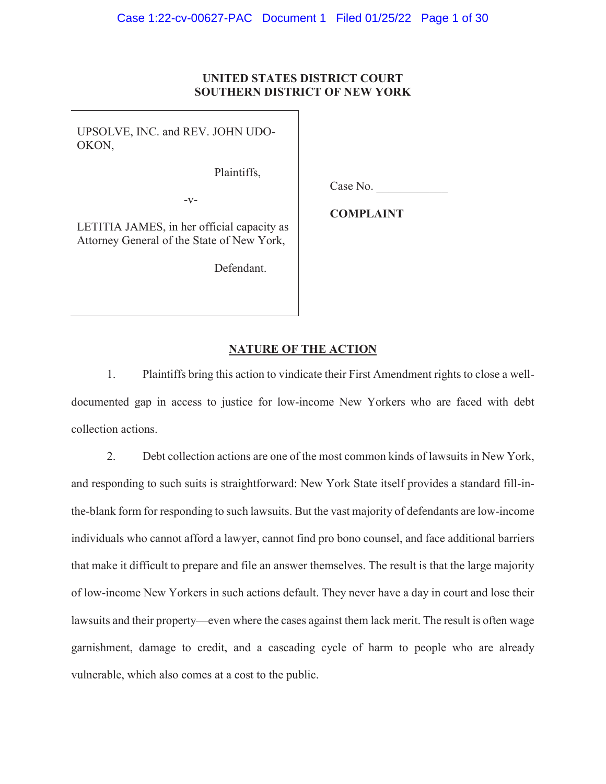### **UNITED STATES DISTRICT COURT SOUTHERN DISTRICT OF NEW YORK**

UPSOLVE, INC. and REV. JOHN UDO-OKON,

Plaintiffs,

 $-V-$ 

Case No.

LETITIA JAMES, in her official capacity as Attorney General of the State of New York,

Defendant.

**COMPLAINT**

# **NATURE OF THE ACTION**

1. Plaintiffs bring this action to vindicate their First Amendment rights to close a welldocumented gap in access to justice for low-income New Yorkers who are faced with debt collection actions.

2. Debt collection actions are one of the most common kinds of lawsuits in New York, and responding to such suits is straightforward: New York State itself provides a standard fill-inthe-blank form for responding to such lawsuits. But the vast majority of defendants are low-income individuals who cannot afford a lawyer, cannot find pro bono counsel, and face additional barriers that make it difficult to prepare and file an answer themselves. The result is that the large majority of low-income New Yorkers in such actions default. They never have a day in court and lose their lawsuits and their property—even where the cases against them lack merit. The result is often wage garnishment, damage to credit, and a cascading cycle of harm to people who are already vulnerable, which also comes at a cost to the public.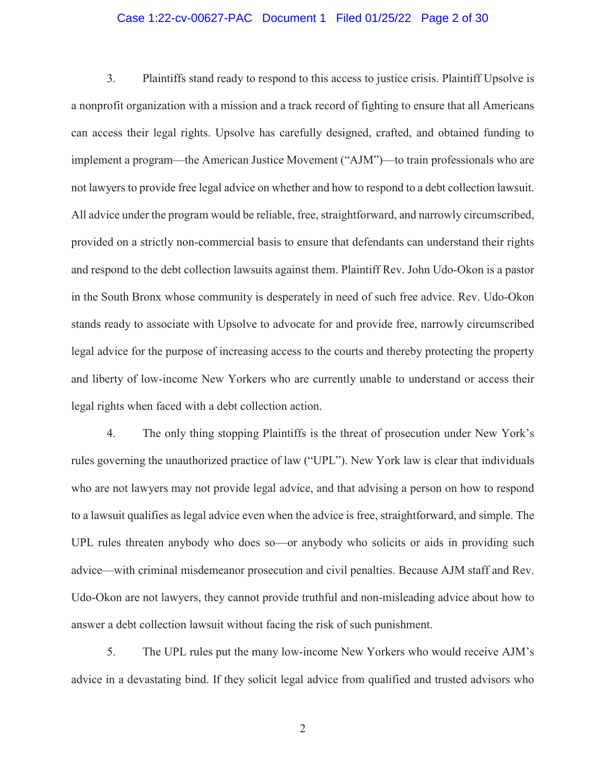#### Case 1:22-cv-00627-PAC Document 1 Filed 01/25/22 Page 2 of 30

3. Plaintiffs stand ready to respond to this access to justice crisis. Plaintiff Upsolve is a nonprofit organization with a mission and a track record of fighting to ensure that all Americans can access their legal rights. Upsolve has carefully designed, crafted, and obtained funding to implement a program—the American Justice Movement ("AJM")—to train professionals who are not lawyers to provide free legal advice on whether and how to respond to a debt collection lawsuit. All advice under the program would be reliable, free, straightforward, and narrowly circumscribed, provided on a strictly non-commercial basis to ensure that defendants can understand their rights and respond to the debt collection lawsuits against them. Plaintiff Rev. John Udo-Okon is a pastor in the South Bronx whose community is desperately in need of such free advice. Rev. Udo-Okon stands ready to associate with Upsolve to advocate for and provide free, narrowly circumscribed legal advice for the purpose of increasing access to the courts and thereby protecting the property and liberty of low-income New Yorkers who are currently unable to understand or access their legal rights when faced with a debt collection action.

4. The only thing stopping Plaintiffs is the threat of prosecution under New York's rules governing the unauthorized practice of law ("UPL"). New York law is clear that individuals who are not lawyers may not provide legal advice, and that advising a person on how to respond to a lawsuit qualifies as legal advice even when the advice is free, straightforward, and simple. The UPL rules threaten anybody who does so—or anybody who solicits or aids in providing such advice—with criminal misdemeanor prosecution and civil penalties. Because AJM staff and Rev. Udo-Okon are not lawyers, they cannot provide truthful and non-misleading advice about how to answer a debt collection lawsuit without facing the risk of such punishment.

5. The UPL rules put the many low-income New Yorkers who would receive AJM's advice in a devastating bind. If they solicit legal advice from qualified and trusted advisors who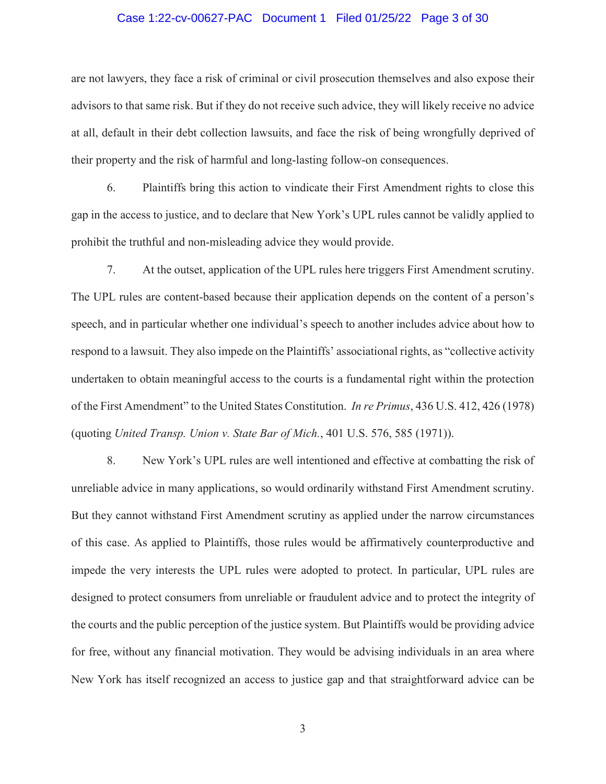#### Case 1:22-cv-00627-PAC Document 1 Filed 01/25/22 Page 3 of 30

are not lawyers, they face a risk of criminal or civil prosecution themselves and also expose their advisors to that same risk. But if they do not receive such advice, they will likely receive no advice at all, default in their debt collection lawsuits, and face the risk of being wrongfully deprived of their property and the risk of harmful and long-lasting follow-on consequences.

6. Plaintiffs bring this action to vindicate their First Amendment rights to close this gap in the access to justice, and to declare that New York's UPL rules cannot be validly applied to prohibit the truthful and non-misleading advice they would provide.

7. At the outset, application of the UPL rules here triggers First Amendment scrutiny. The UPL rules are content-based because their application depends on the content of a person's speech, and in particular whether one individual's speech to another includes advice about how to respond to a lawsuit. They also impede on the Plaintiffs' associational rights, as "collective activity undertaken to obtain meaningful access to the courts is a fundamental right within the protection of the First Amendment" to the United States Constitution. *In re Primus*, 436 U.S. 412, 426 (1978) (quoting *United Transp. Union v. State Bar of Mich.*, 401 U.S. 576, 585 (1971)).

8. New York's UPL rules are well intentioned and effective at combatting the risk of unreliable advice in many applications, so would ordinarily withstand First Amendment scrutiny. But they cannot withstand First Amendment scrutiny as applied under the narrow circumstances of this case. As applied to Plaintiffs, those rules would be affirmatively counterproductive and impede the very interests the UPL rules were adopted to protect. In particular, UPL rules are designed to protect consumers from unreliable or fraudulent advice and to protect the integrity of the courts and the public perception of the justice system. But Plaintiffs would be providing advice for free, without any financial motivation. They would be advising individuals in an area where New York has itself recognized an access to justice gap and that straightforward advice can be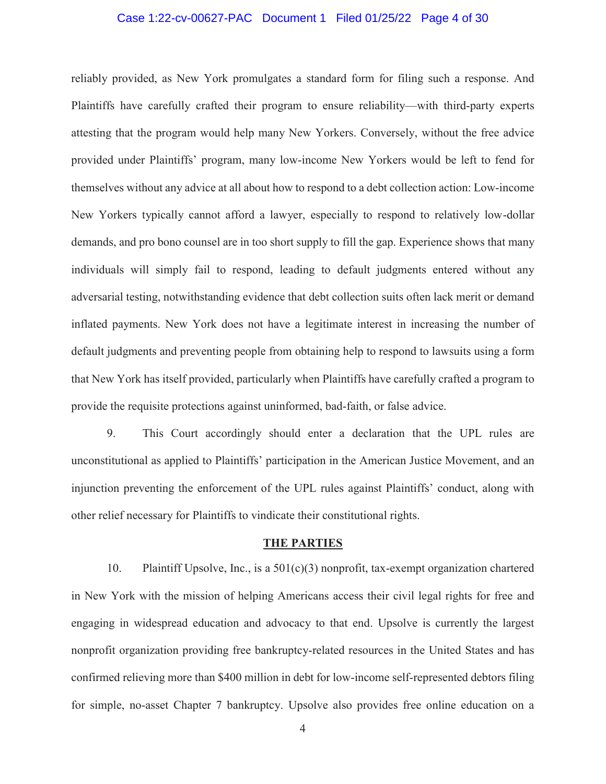#### Case 1:22-cv-00627-PAC Document 1 Filed 01/25/22 Page 4 of 30

reliably provided, as New York promulgates a standard form for filing such a response. And Plaintiffs have carefully crafted their program to ensure reliability—with third-party experts attesting that the program would help many New Yorkers. Conversely, without the free advice provided under Plaintiffs' program, many low-income New Yorkers would be left to fend for themselves without any advice at all about how to respond to a debt collection action: Low-income New Yorkers typically cannot afford a lawyer, especially to respond to relatively low-dollar demands, and pro bono counsel are in too short supply to fill the gap. Experience shows that many individuals will simply fail to respond, leading to default judgments entered without any adversarial testing, notwithstanding evidence that debt collection suits often lack merit or demand inflated payments. New York does not have a legitimate interest in increasing the number of default judgments and preventing people from obtaining help to respond to lawsuits using a form that New York has itself provided, particularly when Plaintiffs have carefully crafted a program to provide the requisite protections against uninformed, bad-faith, or false advice.

9. This Court accordingly should enter a declaration that the UPL rules are unconstitutional as applied to Plaintiffs' participation in the American Justice Movement, and an injunction preventing the enforcement of the UPL rules against Plaintiffs' conduct, along with other relief necessary for Plaintiffs to vindicate their constitutional rights.

#### **THE PARTIES**

10. Plaintiff Upsolve, Inc., is a 501(c)(3) nonprofit, tax-exempt organization chartered in New York with the mission of helping Americans access their civil legal rights for free and engaging in widespread education and advocacy to that end. Upsolve is currently the largest nonprofit organization providing free bankruptcy-related resources in the United States and has confirmed relieving more than \$400 million in debt for low-income self-represented debtors filing for simple, no-asset Chapter 7 bankruptcy. Upsolve also provides free online education on a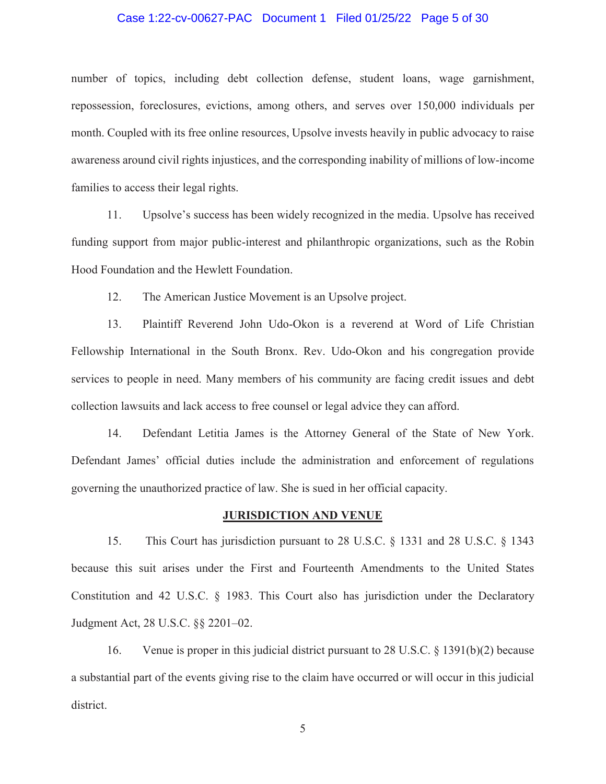#### Case 1:22-cv-00627-PAC Document 1 Filed 01/25/22 Page 5 of 30

number of topics, including debt collection defense, student loans, wage garnishment, repossession, foreclosures, evictions, among others, and serves over 150,000 individuals per month. Coupled with its free online resources, Upsolve invests heavily in public advocacy to raise awareness around civil rights injustices, and the corresponding inability of millions of low-income families to access their legal rights.

11. Upsolve's success has been widely recognized in the media. Upsolve has received funding support from major public-interest and philanthropic organizations, such as the Robin Hood Foundation and the Hewlett Foundation.

12. The American Justice Movement is an Upsolve project.

13. Plaintiff Reverend John Udo-Okon is a reverend at Word of Life Christian Fellowship International in the South Bronx. Rev. Udo-Okon and his congregation provide services to people in need. Many members of his community are facing credit issues and debt collection lawsuits and lack access to free counsel or legal advice they can afford.

14. Defendant Letitia James is the Attorney General of the State of New York. Defendant James' official duties include the administration and enforcement of regulations governing the unauthorized practice of law. She is sued in her official capacity.

#### **JURISDICTION AND VENUE**

15. This Court has jurisdiction pursuant to 28 U.S.C. § 1331 and 28 U.S.C. § 1343 because this suit arises under the First and Fourteenth Amendments to the United States Constitution and 42 U.S.C. § 1983. This Court also has jurisdiction under the Declaratory Judgment Act, 28 U.S.C. §§ 2201–02.

16. Venue is proper in this judicial district pursuant to 28 U.S.C. § 1391(b)(2) because a substantial part of the events giving rise to the claim have occurred or will occur in this judicial district.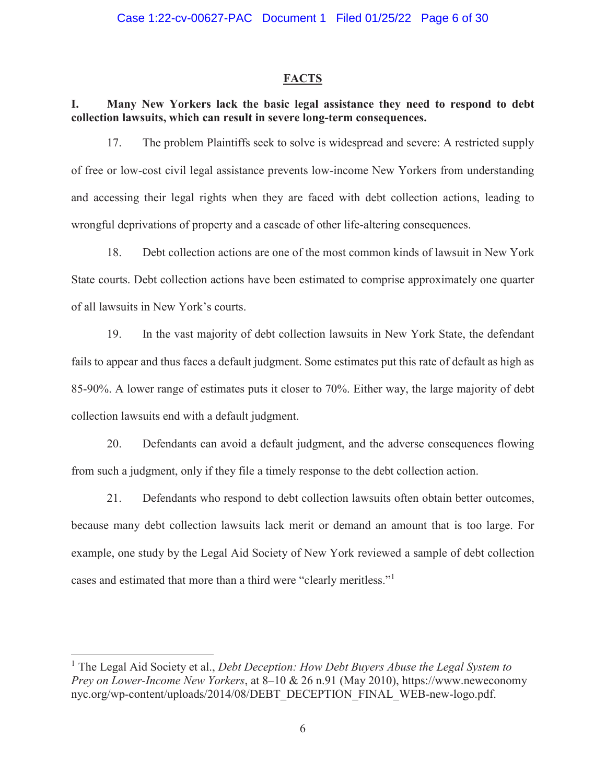#### **FACTS**

# **I. Many New Yorkers lack the basic legal assistance they need to respond to debt collection lawsuits, which can result in severe long-term consequences.**

17. The problem Plaintiffs seek to solve is widespread and severe: A restricted supply of free or low-cost civil legal assistance prevents low-income New Yorkers from understanding and accessing their legal rights when they are faced with debt collection actions, leading to wrongful deprivations of property and a cascade of other life-altering consequences.

18. Debt collection actions are one of the most common kinds of lawsuit in New York State courts. Debt collection actions have been estimated to comprise approximately one quarter of all lawsuits in New York's courts.

19. In the vast majority of debt collection lawsuits in New York State, the defendant fails to appear and thus faces a default judgment. Some estimates put this rate of default as high as 85-90%. A lower range of estimates puts it closer to 70%. Either way, the large majority of debt collection lawsuits end with a default judgment.

20. Defendants can avoid a default judgment, and the adverse consequences flowing from such a judgment, only if they file a timely response to the debt collection action.

21. Defendants who respond to debt collection lawsuits often obtain better outcomes, because many debt collection lawsuits lack merit or demand an amount that is too large. For example, one study by the Legal Aid Society of New York reviewed a sample of debt collection cases and estimated that more than a third were "clearly meritless."<sup>1</sup>

<sup>&</sup>lt;sup>1</sup> The Legal Aid Society et al., *Debt Deception: How Debt Buyers Abuse the Legal System to Prey on Lower-Income New Yorkers*, at 8–10 & 26 n.91 (May 2010), https://www.neweconomy nyc.org/wp-content/uploads/2014/08/DEBT\_DECEPTION\_FINAL\_WEB-new-logo.pdf.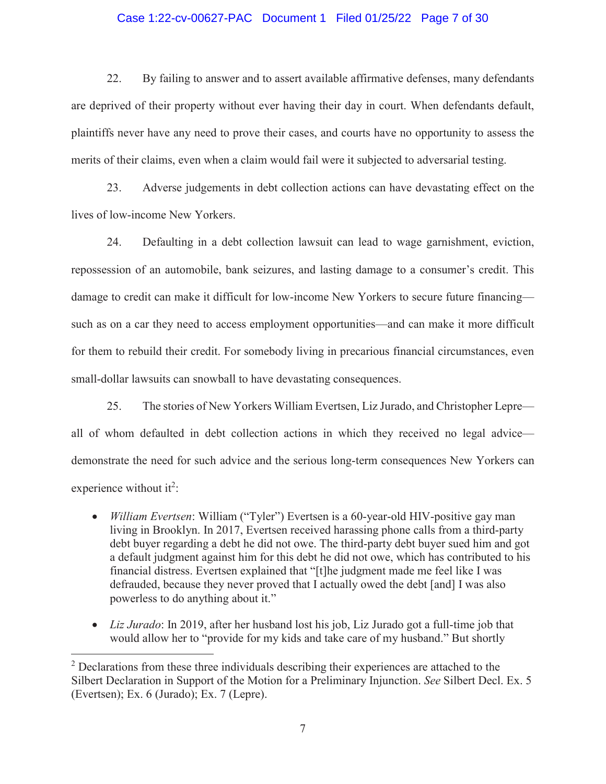#### Case 1:22-cv-00627-PAC Document 1 Filed 01/25/22 Page 7 of 30

22. By failing to answer and to assert available affirmative defenses, many defendants are deprived of their property without ever having their day in court. When defendants default, plaintiffs never have any need to prove their cases, and courts have no opportunity to assess the merits of their claims, even when a claim would fail were it subjected to adversarial testing.

23. Adverse judgements in debt collection actions can have devastating effect on the lives of low-income New Yorkers.

24. Defaulting in a debt collection lawsuit can lead to wage garnishment, eviction, repossession of an automobile, bank seizures, and lasting damage to a consumer's credit. This damage to credit can make it difficult for low-income New Yorkers to secure future financing such as on a car they need to access employment opportunities—and can make it more difficult for them to rebuild their credit. For somebody living in precarious financial circumstances, even small-dollar lawsuits can snowball to have devastating consequences.

25. The stories of New Yorkers William Evertsen, Liz Jurado, and Christopher Lepre all of whom defaulted in debt collection actions in which they received no legal advice demonstrate the need for such advice and the serious long-term consequences New Yorkers can experience without it<sup>2</sup>:

- *William Evertsen*: William ("Tyler") Evertsen is a 60-year-old HIV-positive gay man living in Brooklyn. In 2017, Evertsen received harassing phone calls from a third-party debt buyer regarding a debt he did not owe. The third-party debt buyer sued him and got a default judgment against him for this debt he did not owe, which has contributed to his financial distress. Evertsen explained that "[t]he judgment made me feel like I was defrauded, because they never proved that I actually owed the debt [and] I was also powerless to do anything about it."
- *Liz Jurado*: In 2019, after her husband lost his job, Liz Jurado got a full-time job that would allow her to "provide for my kids and take care of my husband." But shortly

 $2$  Declarations from these three individuals describing their experiences are attached to the Silbert Declaration in Support of the Motion for a Preliminary Injunction. *See* Silbert Decl. Ex. 5 (Evertsen); Ex. 6 (Jurado); Ex. 7 (Lepre).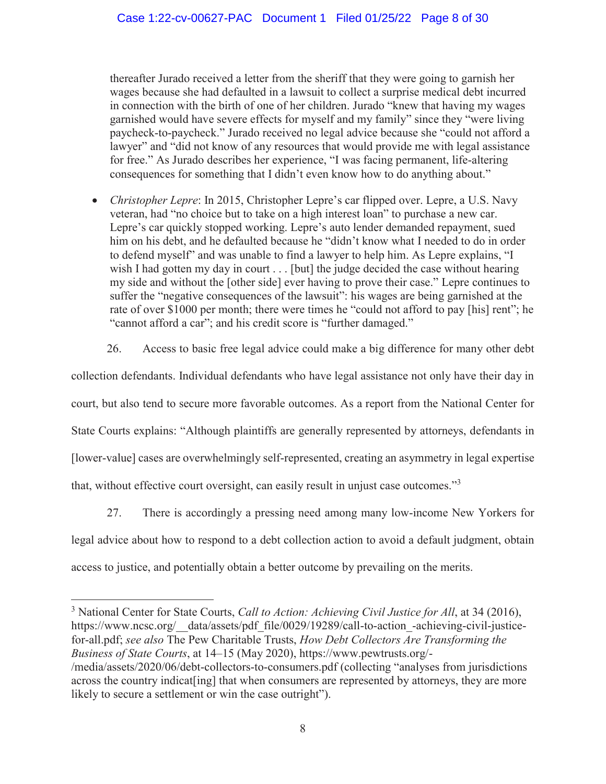thereafter Jurado received a letter from the sheriff that they were going to garnish her wages because she had defaulted in a lawsuit to collect a surprise medical debt incurred in connection with the birth of one of her children. Jurado "knew that having my wages garnished would have severe effects for myself and my family" since they "were living paycheck-to-paycheck." Jurado received no legal advice because she "could not afford a lawyer" and "did not know of any resources that would provide me with legal assistance for free." As Jurado describes her experience, "I was facing permanent, life-altering consequences for something that I didn't even know how to do anything about."

- *Christopher Lepre*: In 2015, Christopher Lepre's car flipped over. Lepre, a U.S. Navy veteran, had "no choice but to take on a high interest loan" to purchase a new car. Lepre's car quickly stopped working. Lepre's auto lender demanded repayment, sued him on his debt, and he defaulted because he "didn't know what I needed to do in order to defend myself" and was unable to find a lawyer to help him. As Lepre explains, "I wish I had gotten my day in court  $\ldots$  [but] the judge decided the case without hearing my side and without the [other side] ever having to prove their case." Lepre continues to suffer the "negative consequences of the lawsuit": his wages are being garnished at the rate of over \$1000 per month; there were times he "could not afford to pay [his] rent"; he "cannot afford a car"; and his credit score is "further damaged."
	- 26. Access to basic free legal advice could make a big difference for many other debt

collection defendants. Individual defendants who have legal assistance not only have their day in court, but also tend to secure more favorable outcomes. As a report from the National Center for State Courts explains: "Although plaintiffs are generally represented by attorneys, defendants in [lower-value] cases are overwhelmingly self-represented, creating an asymmetry in legal expertise that, without effective court oversight, can easily result in unjust case outcomes."<sup>3</sup>

27. There is accordingly a pressing need among many low-income New Yorkers for

legal advice about how to respond to a debt collection action to avoid a default judgment, obtain access to justice, and potentially obtain a better outcome by prevailing on the merits.

<sup>&</sup>lt;sup>3</sup> National Center for State Courts, *Call to Action: Achieving Civil Justice for All*, at 34 (2016), https://www.ncsc.org/ data/assets/pdf file/0029/19289/call-to-action -achieving-civil-justicefor-all.pdf; *see also* The Pew Charitable Trusts, *How Debt Collectors Are Transforming the Business of State Courts*, at 14–15 (May 2020), https://www.pewtrusts.org/- /media/assets/2020/06/debt-collectors-to-consumers.pdf (collecting "analyses from jurisdictions across the country indicat [ing] that when consumers are represented by attorneys, they are more likely to secure a settlement or win the case outright").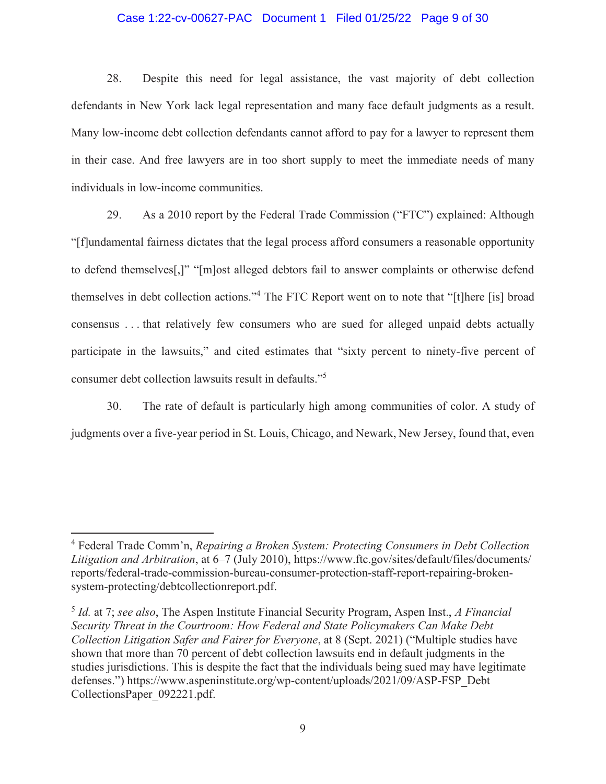### Case 1:22-cv-00627-PAC Document 1 Filed 01/25/22 Page 9 of 30

28. Despite this need for legal assistance, the vast majority of debt collection defendants in New York lack legal representation and many face default judgments as a result. Many low-income debt collection defendants cannot afford to pay for a lawyer to represent them in their case. And free lawyers are in too short supply to meet the immediate needs of many individuals in low-income communities.

29. As a 2010 report by the Federal Trade Commission ("FTC") explained: Although "[f]undamental fairness dictates that the legal process afford consumers a reasonable opportunity to defend themselves[,]" "[m]ost alleged debtors fail to answer complaints or otherwise defend themselves in debt collection actions."<sup>4</sup> The FTC Report went on to note that "[t]here [is] broad consensus . . . that relatively few consumers who are sued for alleged unpaid debts actually participate in the lawsuits," and cited estimates that "sixty percent to ninety-five percent of consumer debt collection lawsuits result in defaults."5

30. The rate of default is particularly high among communities of color. A study of judgments over a five-year period in St. Louis, Chicago, and Newark, New Jersey, found that, even

<sup>4</sup> Federal Trade Comm'n, *Repairing a Broken System: Protecting Consumers in Debt Collection Litigation and Arbitration*, at 6–7 (July 2010), https://www.ftc.gov/sites/default/files/documents/ reports/federal-trade-commission-bureau-consumer-protection-staff-report-repairing-brokensystem-protecting/debtcollectionreport.pdf.

<sup>5</sup> *Id.* at 7; *see also*, The Aspen Institute Financial Security Program, Aspen Inst., *A Financial Security Threat in the Courtroom: How Federal and State Policymakers Can Make Debt Collection Litigation Safer and Fairer for Everyone*, at 8 (Sept. 2021) ("Multiple studies have shown that more than 70 percent of debt collection lawsuits end in default judgments in the studies jurisdictions. This is despite the fact that the individuals being sued may have legitimate defenses.") https://www.aspeninstitute.org/wp-content/uploads/2021/09/ASP-FSP\_Debt CollectionsPaper\_092221.pdf.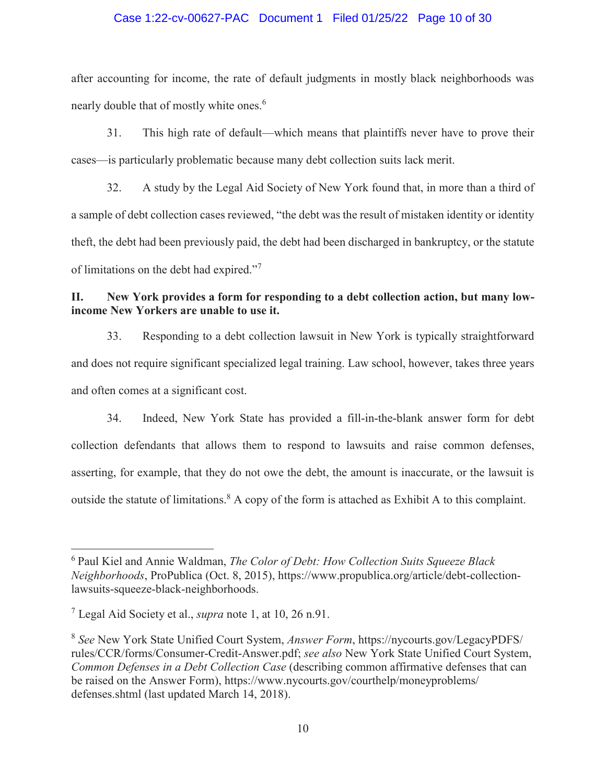### Case 1:22-cv-00627-PAC Document 1 Filed 01/25/22 Page 10 of 30

after accounting for income, the rate of default judgments in mostly black neighborhoods was nearly double that of mostly white ones.<sup>6</sup>

31. This high rate of default—which means that plaintiffs never have to prove their cases—is particularly problematic because many debt collection suits lack merit.

32. A study by the Legal Aid Society of New York found that, in more than a third of a sample of debt collection cases reviewed, "the debt was the result of mistaken identity or identity theft, the debt had been previously paid, the debt had been discharged in bankruptcy, or the statute of limitations on the debt had expired."<sup>7</sup>

# **II. New York provides a form for responding to a debt collection action, but many lowincome New Yorkers are unable to use it.**

33. Responding to a debt collection lawsuit in New York is typically straightforward and does not require significant specialized legal training. Law school, however, takes three years and often comes at a significant cost.

34. Indeed, New York State has provided a fill-in-the-blank answer form for debt collection defendants that allows them to respond to lawsuits and raise common defenses, asserting, for example, that they do not owe the debt, the amount is inaccurate, or the lawsuit is outside the statute of limitations.<sup>8</sup> A copy of the form is attached as Exhibit A to this complaint.

<sup>6</sup> Paul Kiel and Annie Waldman, *The Color of Debt: How Collection Suits Squeeze Black Neighborhoods*, ProPublica (Oct. 8, 2015), https://www.propublica.org/article/debt-collectionlawsuits-squeeze-black-neighborhoods.

<sup>7</sup> Legal Aid Society et al., *supra* note 1, at 10, 26 n.91.

<sup>8</sup> *See* New York State Unified Court System, *Answer Form*, https://nycourts.gov/LegacyPDFS/ rules/CCR/forms/Consumer-Credit-Answer.pdf; *see also* New York State Unified Court System, *Common Defenses in a Debt Collection Case* (describing common affirmative defenses that can be raised on the Answer Form), https://www.nycourts.gov/courthelp/moneyproblems/ defenses.shtml (last updated March 14, 2018).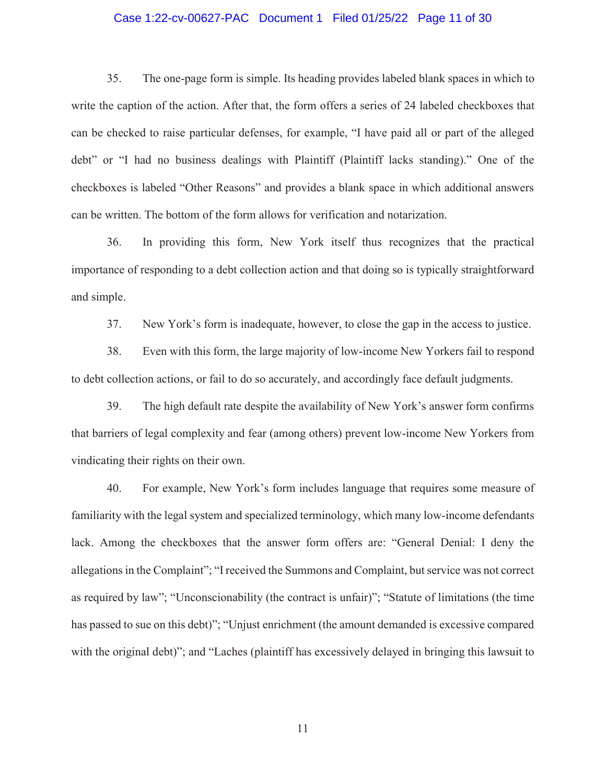#### Case 1:22-cv-00627-PAC Document 1 Filed 01/25/22 Page 11 of 30

35. The one-page form is simple. Its heading provides labeled blank spaces in which to write the caption of the action. After that, the form offers a series of 24 labeled checkboxes that can be checked to raise particular defenses, for example, "I have paid all or part of the alleged debt" or "I had no business dealings with Plaintiff (Plaintiff lacks standing)." One of the checkboxes is labeled "Other Reasons" and provides a blank space in which additional answers can be written. The bottom of the form allows for verification and notarization.

36. In providing this form, New York itself thus recognizes that the practical importance of responding to a debt collection action and that doing so is typically straightforward and simple.

37. New York's form is inadequate, however, to close the gap in the access to justice.

38. Even with this form, the large majority of low-income New Yorkers fail to respond to debt collection actions, or fail to do so accurately, and accordingly face default judgments.

39. The high default rate despite the availability of New York's answer form confirms that barriers of legal complexity and fear (among others) prevent low-income New Yorkers from vindicating their rights on their own.

40. For example, New York's form includes language that requires some measure of familiarity with the legal system and specialized terminology, which many low-income defendants lack. Among the checkboxes that the answer form offers are: "General Denial: I deny the allegations in the Complaint"; "I received the Summons and Complaint, but service was not correct as required by law"; "Unconscionability (the contract is unfair)"; "Statute of limitations (the time has passed to sue on this debt)"; "Unjust enrichment (the amount demanded is excessive compared with the original debt)"; and "Laches (plaintiff has excessively delayed in bringing this lawsuit to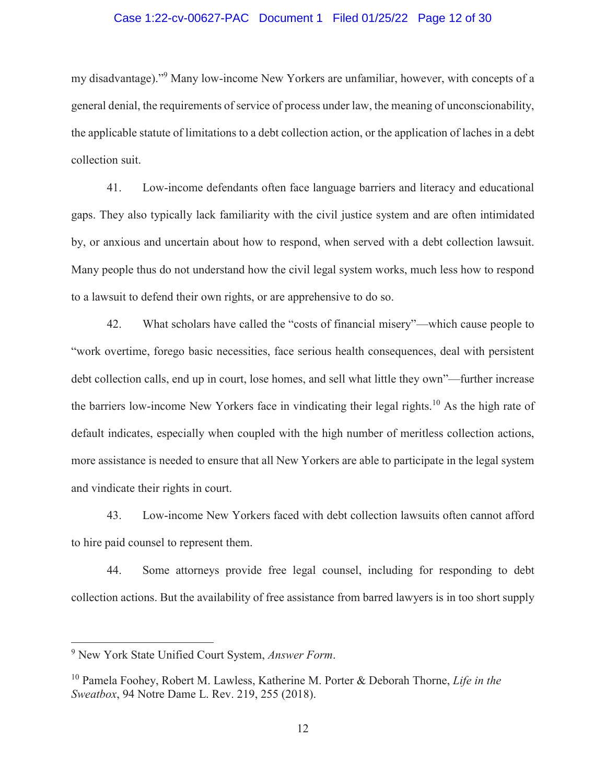#### Case 1:22-cv-00627-PAC Document 1 Filed 01/25/22 Page 12 of 30

my disadvantage)."<sup>9</sup> Many low-income New Yorkers are unfamiliar, however, with concepts of a general denial, the requirements of service of process under law, the meaning of unconscionability, the applicable statute of limitations to a debt collection action, or the application of laches in a debt collection suit.

41. Low-income defendants often face language barriers and literacy and educational gaps. They also typically lack familiarity with the civil justice system and are often intimidated by, or anxious and uncertain about how to respond, when served with a debt collection lawsuit. Many people thus do not understand how the civil legal system works, much less how to respond to a lawsuit to defend their own rights, or are apprehensive to do so.

42. What scholars have called the "costs of financial misery"—which cause people to "work overtime, forego basic necessities, face serious health consequences, deal with persistent debt collection calls, end up in court, lose homes, and sell what little they own"—further increase the barriers low-income New Yorkers face in vindicating their legal rights.<sup>10</sup> As the high rate of default indicates, especially when coupled with the high number of meritless collection actions, more assistance is needed to ensure that all New Yorkers are able to participate in the legal system and vindicate their rights in court.

43. Low-income New Yorkers faced with debt collection lawsuits often cannot afford to hire paid counsel to represent them.

44. Some attorneys provide free legal counsel, including for responding to debt collection actions. But the availability of free assistance from barred lawyers is in too short supply

<sup>9</sup> New York State Unified Court System, *Answer Form*.

<sup>10</sup> Pamela Foohey, Robert M. Lawless, Katherine M. Porter & Deborah Thorne, *Life in the Sweatbox*, 94 Notre Dame L. Rev. 219, 255 (2018).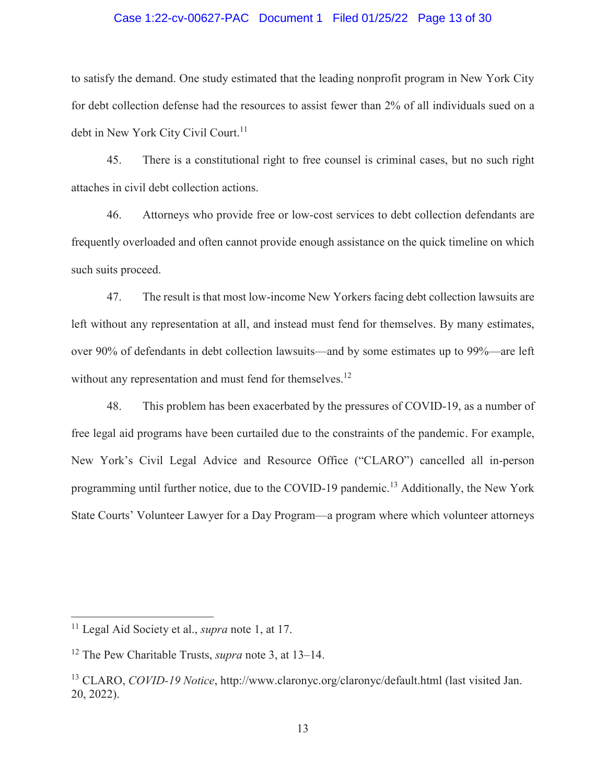#### Case 1:22-cv-00627-PAC Document 1 Filed 01/25/22 Page 13 of 30

to satisfy the demand. One study estimated that the leading nonprofit program in New York City for debt collection defense had the resources to assist fewer than 2% of all individuals sued on a debt in New York City Civil Court.<sup>11</sup>

45. There is a constitutional right to free counsel is criminal cases, but no such right attaches in civil debt collection actions.

46. Attorneys who provide free or low-cost services to debt collection defendants are frequently overloaded and often cannot provide enough assistance on the quick timeline on which such suits proceed.

47. The result is that most low-income New Yorkers facing debt collection lawsuits are left without any representation at all, and instead must fend for themselves. By many estimates, over 90% of defendants in debt collection lawsuits—and by some estimates up to 99%—are left without any representation and must fend for themselves.<sup>12</sup>

48. This problem has been exacerbated by the pressures of COVID-19, as a number of free legal aid programs have been curtailed due to the constraints of the pandemic. For example, New York's Civil Legal Advice and Resource Office ("CLARO") cancelled all in-person programming until further notice, due to the COVID-19 pandemic.<sup>13</sup> Additionally, the New York State Courts' Volunteer Lawyer for a Day Program—a program where which volunteer attorneys

<sup>11</sup> Legal Aid Society et al., *supra* note 1, at 17.

<sup>12</sup> The Pew Charitable Trusts, *supra* note 3, at 13–14.

<sup>13</sup> CLARO, *COVID-19 Notice*, http://www.claronyc.org/claronyc/default.html (last visited Jan. 20, 2022).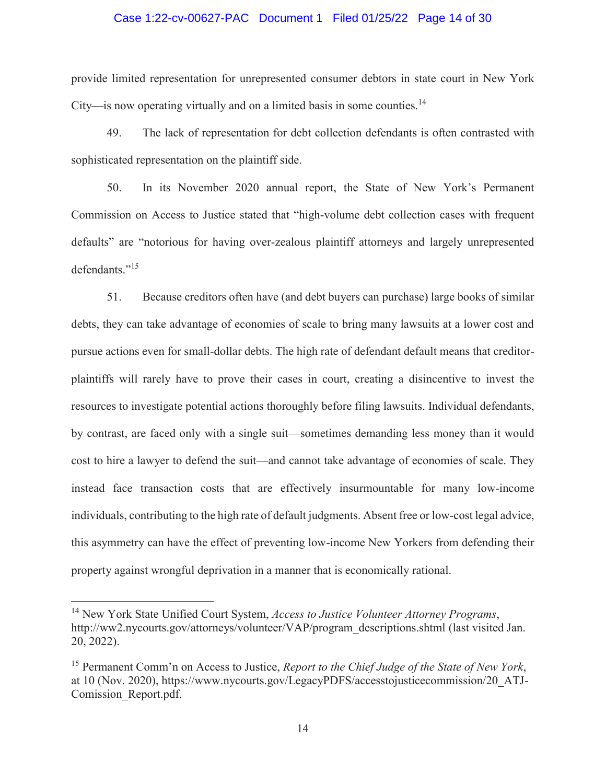#### Case 1:22-cv-00627-PAC Document 1 Filed 01/25/22 Page 14 of 30

provide limited representation for unrepresented consumer debtors in state court in New York City—is now operating virtually and on a limited basis in some counties.<sup>14</sup>

49. The lack of representation for debt collection defendants is often contrasted with sophisticated representation on the plaintiff side.

50. In its November 2020 annual report, the State of New York's Permanent Commission on Access to Justice stated that "high-volume debt collection cases with frequent defaults" are "notorious for having over-zealous plaintiff attorneys and largely unrepresented defendants."<sup>15</sup>

51. Because creditors often have (and debt buyers can purchase) large books of similar debts, they can take advantage of economies of scale to bring many lawsuits at a lower cost and pursue actions even for small-dollar debts. The high rate of defendant default means that creditorplaintiffs will rarely have to prove their cases in court, creating a disincentive to invest the resources to investigate potential actions thoroughly before filing lawsuits. Individual defendants, by contrast, are faced only with a single suit—sometimes demanding less money than it would cost to hire a lawyer to defend the suit—and cannot take advantage of economies of scale. They instead face transaction costs that are effectively insurmountable for many low-income individuals, contributing to the high rate of default judgments. Absent free or low-cost legal advice, this asymmetry can have the effect of preventing low-income New Yorkers from defending their property against wrongful deprivation in a manner that is economically rational.

<sup>14</sup> New York State Unified Court System, *Access to Justice Volunteer Attorney Programs*, http://ww2.nycourts.gov/attorneys/volunteer/VAP/program\_descriptions.shtml (last visited Jan. 20, 2022).

<sup>15</sup> Permanent Comm'n on Access to Justice, *Report to the Chief Judge of the State of New York*, at 10 (Nov. 2020), https://www.nycourts.gov/LegacyPDFS/accesstojusticecommission/20\_ATJ-Comission\_Report.pdf.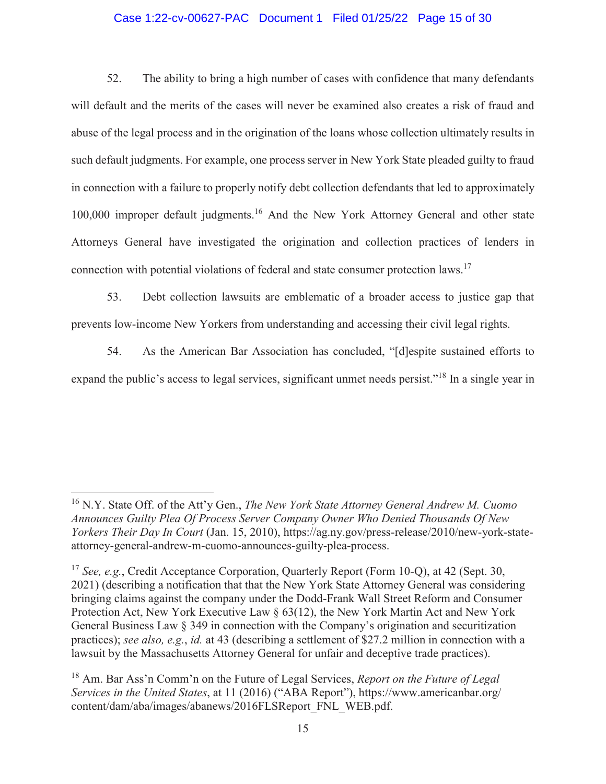### Case 1:22-cv-00627-PAC Document 1 Filed 01/25/22 Page 15 of 30

52. The ability to bring a high number of cases with confidence that many defendants will default and the merits of the cases will never be examined also creates a risk of fraud and abuse of the legal process and in the origination of the loans whose collection ultimately results in such default judgments. For example, one process server in New York State pleaded guilty to fraud in connection with a failure to properly notify debt collection defendants that led to approximately 100,000 improper default judgments.<sup>16</sup> And the New York Attorney General and other state Attorneys General have investigated the origination and collection practices of lenders in connection with potential violations of federal and state consumer protection laws.<sup>17</sup>

53. Debt collection lawsuits are emblematic of a broader access to justice gap that prevents low-income New Yorkers from understanding and accessing their civil legal rights.

54. As the American Bar Association has concluded, "[d]espite sustained efforts to expand the public's access to legal services, significant unmet needs persist."<sup>18</sup> In a single year in

<sup>16</sup> N.Y. State Off. of the Att'y Gen., *The New York State Attorney General Andrew M. Cuomo Announces Guilty Plea Of Process Server Company Owner Who Denied Thousands Of New Yorkers Their Day In Court* (Jan. 15, 2010), https://ag.ny.gov/press-release/2010/new-york-stateattorney-general-andrew-m-cuomo-announces-guilty-plea-process.

<sup>17</sup> *See, e.g.*, Credit Acceptance Corporation, Quarterly Report (Form 10-Q), at 42 (Sept. 30, 2021) (describing a notification that that the New York State Attorney General was considering bringing claims against the company under the Dodd-Frank Wall Street Reform and Consumer Protection Act, New York Executive Law § 63(12), the New York Martin Act and New York General Business Law § 349 in connection with the Company's origination and securitization practices); *see also, e.g.*, *id.* at 43 (describing a settlement of \$27.2 million in connection with a lawsuit by the Massachusetts Attorney General for unfair and deceptive trade practices).

<sup>18</sup> Am. Bar Ass'n Comm'n on the Future of Legal Services, *Report on the Future of Legal Services in the United States*, at 11 (2016) ("ABA Report"), https://www.americanbar.org/ content/dam/aba/images/abanews/2016FLSReport\_FNL\_WEB.pdf.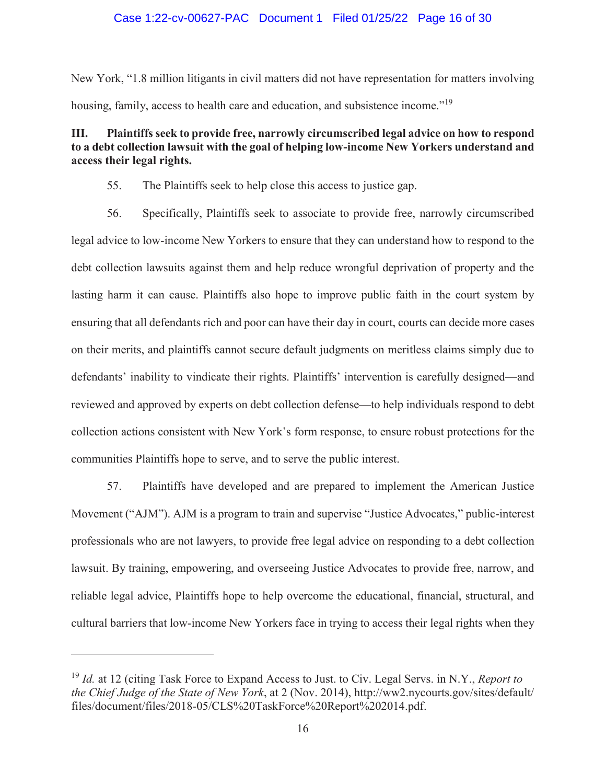### Case 1:22-cv-00627-PAC Document 1 Filed 01/25/22 Page 16 of 30

New York, "1.8 million litigants in civil matters did not have representation for matters involving housing, family, access to health care and education, and subsistence income."<sup>19</sup>

# **III. Plaintiffs seek to provide free, narrowly circumscribed legal advice on how to respond to a debt collection lawsuit with the goal of helping low-income New Yorkers understand and access their legal rights.**

- 55. The Plaintiffs seek to help close this access to justice gap.
- 56. Specifically, Plaintiffs seek to associate to provide free, narrowly circumscribed legal advice to low-income New Yorkers to ensure that they can understand how to respond to the debt collection lawsuits against them and help reduce wrongful deprivation of property and the lasting harm it can cause. Plaintiffs also hope to improve public faith in the court system by ensuring that all defendants rich and poor can have their day in court, courts can decide more cases on their merits, and plaintiffs cannot secure default judgments on meritless claims simply due to defendants' inability to vindicate their rights. Plaintiffs' intervention is carefully designed—and reviewed and approved by experts on debt collection defense—to help individuals respond to debt collection actions consistent with New York's form response, to ensure robust protections for the communities Plaintiffs hope to serve, and to serve the public interest.

57. Plaintiffs have developed and are prepared to implement the American Justice Movement ("AJM"). AJM is a program to train and supervise "Justice Advocates," public-interest professionals who are not lawyers, to provide free legal advice on responding to a debt collection lawsuit. By training, empowering, and overseeing Justice Advocates to provide free, narrow, and reliable legal advice, Plaintiffs hope to help overcome the educational, financial, structural, and cultural barriers that low-income New Yorkers face in trying to access their legal rights when they

<sup>19</sup> *Id.* at 12 (citing Task Force to Expand Access to Just. to Civ. Legal Servs. in N.Y., *Report to the Chief Judge of the State of New York*, at 2 (Nov. 2014), http://ww2.nycourts.gov/sites/default/ files/document/files/2018-05/CLS%20TaskForce%20Report%202014.pdf.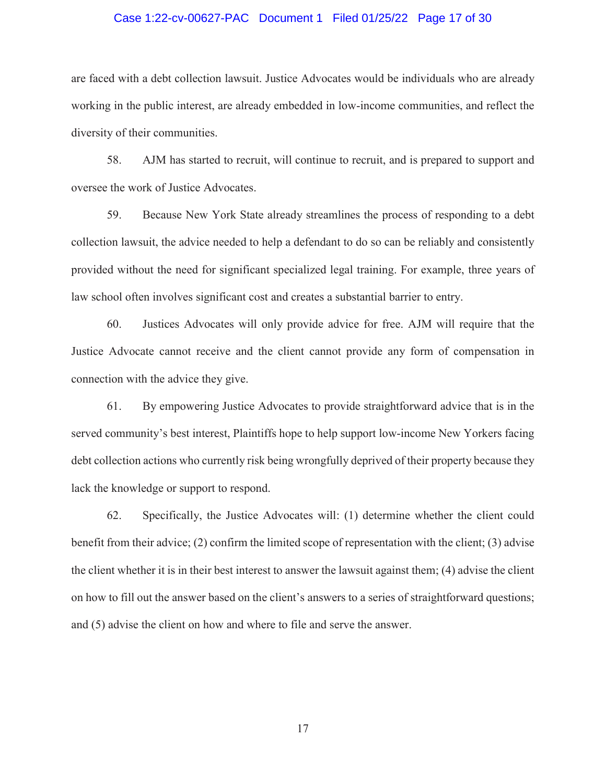#### Case 1:22-cv-00627-PAC Document 1 Filed 01/25/22 Page 17 of 30

are faced with a debt collection lawsuit. Justice Advocates would be individuals who are already working in the public interest, are already embedded in low-income communities, and reflect the diversity of their communities.

58. AJM has started to recruit, will continue to recruit, and is prepared to support and oversee the work of Justice Advocates.

59. Because New York State already streamlines the process of responding to a debt collection lawsuit, the advice needed to help a defendant to do so can be reliably and consistently provided without the need for significant specialized legal training. For example, three years of law school often involves significant cost and creates a substantial barrier to entry.

60. Justices Advocates will only provide advice for free. AJM will require that the Justice Advocate cannot receive and the client cannot provide any form of compensation in connection with the advice they give.

61. By empowering Justice Advocates to provide straightforward advice that is in the served community's best interest, Plaintiffs hope to help support low-income New Yorkers facing debt collection actions who currently risk being wrongfully deprived of their property because they lack the knowledge or support to respond.

62. Specifically, the Justice Advocates will: (1) determine whether the client could benefit from their advice; (2) confirm the limited scope of representation with the client; (3) advise the client whether it is in their best interest to answer the lawsuit against them; (4) advise the client on how to fill out the answer based on the client's answers to a series of straightforward questions; and (5) advise the client on how and where to file and serve the answer.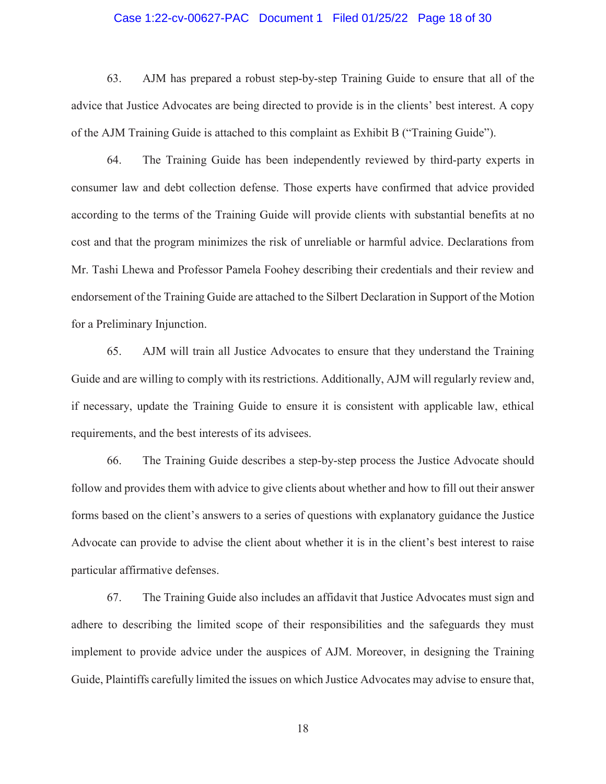#### Case 1:22-cv-00627-PAC Document 1 Filed 01/25/22 Page 18 of 30

63. AJM has prepared a robust step-by-step Training Guide to ensure that all of the advice that Justice Advocates are being directed to provide is in the clients' best interest. A copy of the AJM Training Guide is attached to this complaint as Exhibit B ("Training Guide").

64. The Training Guide has been independently reviewed by third-party experts in consumer law and debt collection defense. Those experts have confirmed that advice provided according to the terms of the Training Guide will provide clients with substantial benefits at no cost and that the program minimizes the risk of unreliable or harmful advice. Declarations from Mr. Tashi Lhewa and Professor Pamela Foohey describing their credentials and their review and endorsement of the Training Guide are attached to the Silbert Declaration in Support of the Motion for a Preliminary Injunction.

65. AJM will train all Justice Advocates to ensure that they understand the Training Guide and are willing to comply with its restrictions. Additionally, AJM will regularly review and, if necessary, update the Training Guide to ensure it is consistent with applicable law, ethical requirements, and the best interests of its advisees.

66. The Training Guide describes a step-by-step process the Justice Advocate should follow and provides them with advice to give clients about whether and how to fill out their answer forms based on the client's answers to a series of questions with explanatory guidance the Justice Advocate can provide to advise the client about whether it is in the client's best interest to raise particular affirmative defenses.

67. The Training Guide also includes an affidavit that Justice Advocates must sign and adhere to describing the limited scope of their responsibilities and the safeguards they must implement to provide advice under the auspices of AJM. Moreover, in designing the Training Guide, Plaintiffs carefully limited the issues on which Justice Advocates may advise to ensure that,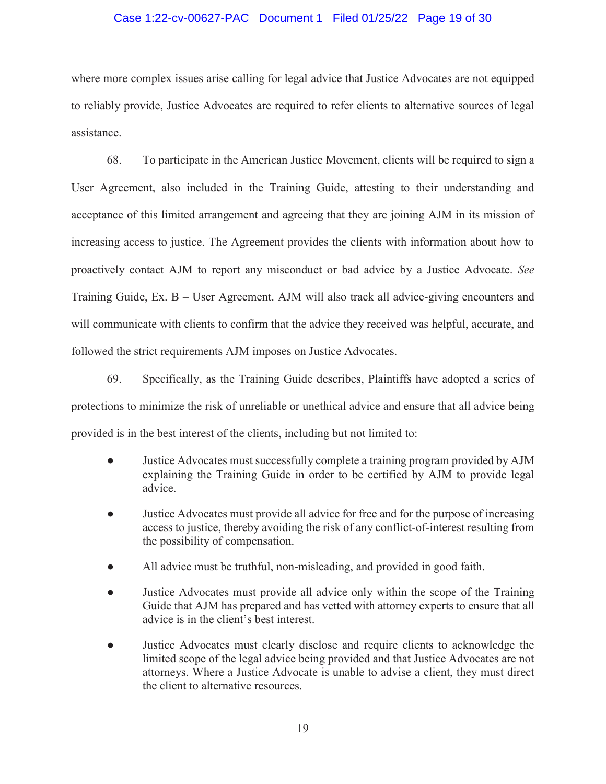### Case 1:22-cv-00627-PAC Document 1 Filed 01/25/22 Page 19 of 30

where more complex issues arise calling for legal advice that Justice Advocates are not equipped to reliably provide, Justice Advocates are required to refer clients to alternative sources of legal assistance.

68. To participate in the American Justice Movement, clients will be required to sign a User Agreement, also included in the Training Guide, attesting to their understanding and acceptance of this limited arrangement and agreeing that they are joining AJM in its mission of increasing access to justice. The Agreement provides the clients with information about how to proactively contact AJM to report any misconduct or bad advice by a Justice Advocate. *See* Training Guide, Ex. B – User Agreement. AJM will also track all advice-giving encounters and will communicate with clients to confirm that the advice they received was helpful, accurate, and followed the strict requirements AJM imposes on Justice Advocates.

69. Specifically, as the Training Guide describes, Plaintiffs have adopted a series of protections to minimize the risk of unreliable or unethical advice and ensure that all advice being provided is in the best interest of the clients, including but not limited to:

- Justice Advocates must successfully complete a training program provided by AJM explaining the Training Guide in order to be certified by AJM to provide legal advice.
- Justice Advocates must provide all advice for free and for the purpose of increasing access to justice, thereby avoiding the risk of any conflict-of-interest resulting from the possibility of compensation.
- All advice must be truthful, non-misleading, and provided in good faith.
- Justice Advocates must provide all advice only within the scope of the Training Guide that AJM has prepared and has vetted with attorney experts to ensure that all advice is in the client's best interest.
- Justice Advocates must clearly disclose and require clients to acknowledge the limited scope of the legal advice being provided and that Justice Advocates are not attorneys. Where a Justice Advocate is unable to advise a client, they must direct the client to alternative resources.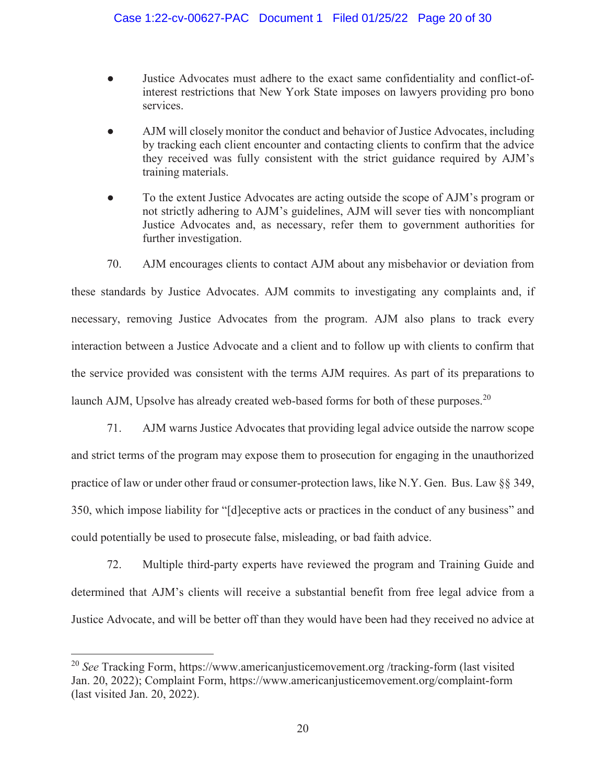- Justice Advocates must adhere to the exact same confidentiality and conflict-ofinterest restrictions that New York State imposes on lawyers providing pro bono services.
- AJM will closely monitor the conduct and behavior of Justice Advocates, including by tracking each client encounter and contacting clients to confirm that the advice they received was fully consistent with the strict guidance required by AJM's training materials.
- To the extent Justice Advocates are acting outside the scope of AJM's program or not strictly adhering to AJM's guidelines, AJM will sever ties with noncompliant Justice Advocates and, as necessary, refer them to government authorities for further investigation.

70. AJM encourages clients to contact AJM about any misbehavior or deviation from these standards by Justice Advocates. AJM commits to investigating any complaints and, if necessary, removing Justice Advocates from the program. AJM also plans to track every interaction between a Justice Advocate and a client and to follow up with clients to confirm that the service provided was consistent with the terms AJM requires. As part of its preparations to launch AJM, Upsolve has already created web-based forms for both of these purposes.<sup>20</sup>

71. AJM warns Justice Advocates that providing legal advice outside the narrow scope and strict terms of the program may expose them to prosecution for engaging in the unauthorized practice of law or under other fraud or consumer-protection laws, like N.Y. Gen. Bus. Law §§ 349, 350, which impose liability for "[d]eceptive acts or practices in the conduct of any business" and could potentially be used to prosecute false, misleading, or bad faith advice.

72. Multiple third-party experts have reviewed the program and Training Guide and determined that AJM's clients will receive a substantial benefit from free legal advice from a Justice Advocate, and will be better off than they would have been had they received no advice at

<sup>20</sup> *See* Tracking Form, https://www.americanjusticemovement.org /tracking-form (last visited Jan. 20, 2022); Complaint Form, https://www.americanjusticemovement.org/complaint-form (last visited Jan. 20, 2022).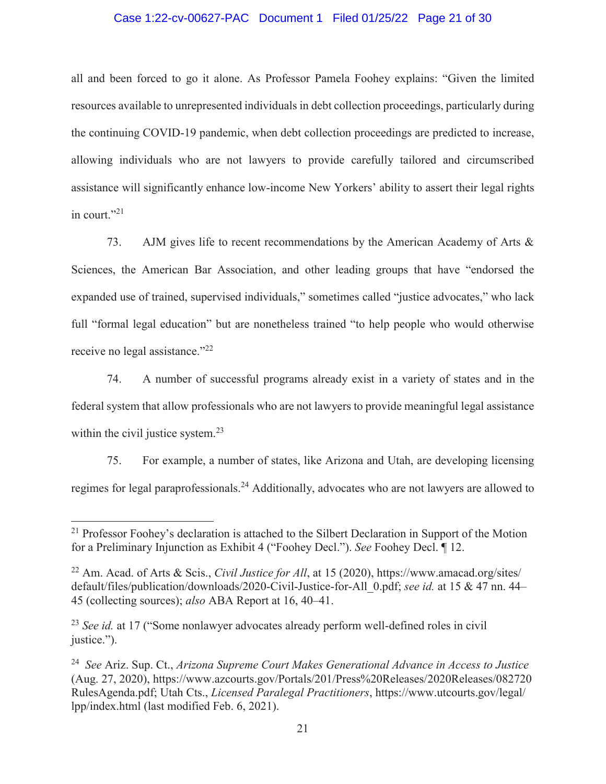#### Case 1:22-cv-00627-PAC Document 1 Filed 01/25/22 Page 21 of 30

all and been forced to go it alone. As Professor Pamela Foohey explains: "Given the limited resources available to unrepresented individuals in debt collection proceedings, particularly during the continuing COVID-19 pandemic, when debt collection proceedings are predicted to increase, allowing individuals who are not lawyers to provide carefully tailored and circumscribed assistance will significantly enhance low-income New Yorkers' ability to assert their legal rights in court." $^{21}$ 

73. AJM gives life to recent recommendations by the American Academy of Arts & Sciences, the American Bar Association, and other leading groups that have "endorsed the expanded use of trained, supervised individuals," sometimes called "justice advocates," who lack full "formal legal education" but are nonetheless trained "to help people who would otherwise receive no legal assistance."<sup>22</sup>

74. A number of successful programs already exist in a variety of states and in the federal system that allow professionals who are not lawyers to provide meaningful legal assistance within the civil justice system.<sup>23</sup>

75. For example, a number of states, like Arizona and Utah, are developing licensing regimes for legal paraprofessionals.24 Additionally, advocates who are not lawyers are allowed to

<sup>&</sup>lt;sup>21</sup> Professor Foohey's declaration is attached to the Silbert Declaration in Support of the Motion for a Preliminary Injunction as Exhibit 4 ("Foohey Decl."). *See* Foohey Decl. ¶ 12.

<sup>22</sup> Am. Acad. of Arts & Scis., *Civil Justice for All*, at 15 (2020), https://www.amacad.org/sites/ default/files/publication/downloads/2020-Civil-Justice-for-All\_0.pdf; *see id.* at 15 & 47 nn. 44– 45 (collecting sources); *also* ABA Report at 16, 40–41.

<sup>&</sup>lt;sup>23</sup> *See id.* at 17 ("Some nonlawyer advocates already perform well-defined roles in civil justice.").

<sup>24</sup> *See* Ariz. Sup. Ct., *Arizona Supreme Court Makes Generational Advance in Access to Justice* (Aug. 27, 2020), https://www.azcourts.gov/Portals/201/Press%20Releases/2020Releases/082720 RulesAgenda.pdf; Utah Cts., *Licensed Paralegal Practitioners*, https://www.utcourts.gov/legal/ lpp/index.html (last modified Feb. 6, 2021).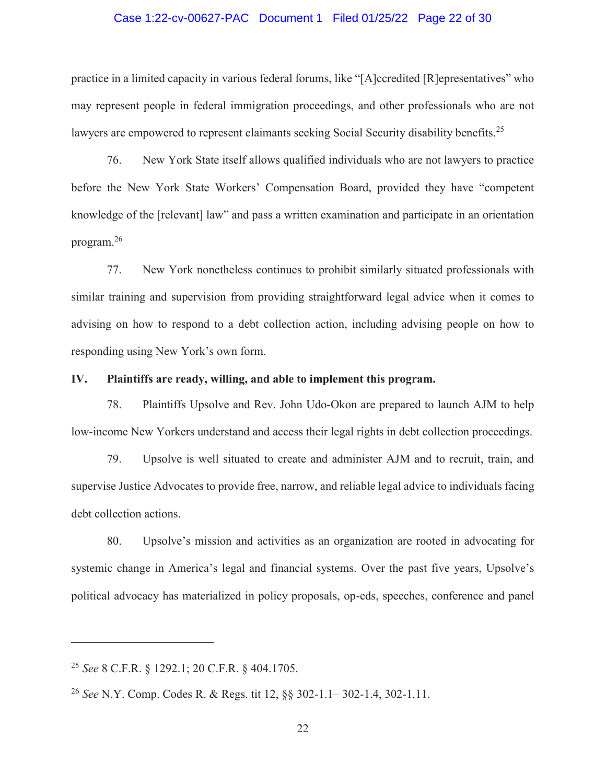#### Case 1:22-cv-00627-PAC Document 1 Filed 01/25/22 Page 22 of 30

practice in a limited capacity in various federal forums, like "[A]ccredited [R]epresentatives" who may represent people in federal immigration proceedings, and other professionals who are not lawyers are empowered to represent claimants seeking Social Security disability benefits.<sup>25</sup>

76. New York State itself allows qualified individuals who are not lawyers to practice before the New York State Workers' Compensation Board, provided they have "competent knowledge of the [relevant] law" and pass a written examination and participate in an orientation program.<sup>26</sup>

77. New York nonetheless continues to prohibit similarly situated professionals with similar training and supervision from providing straightforward legal advice when it comes to advising on how to respond to a debt collection action, including advising people on how to responding using New York's own form.

#### **IV. Plaintiffs are ready, willing, and able to implement this program.**

78. Plaintiffs Upsolve and Rev. John Udo-Okon are prepared to launch AJM to help low-income New Yorkers understand and access their legal rights in debt collection proceedings.

79. Upsolve is well situated to create and administer AJM and to recruit, train, and supervise Justice Advocates to provide free, narrow, and reliable legal advice to individuals facing debt collection actions.

80. Upsolve's mission and activities as an organization are rooted in advocating for systemic change in America's legal and financial systems. Over the past five years, Upsolve's political advocacy has materialized in policy proposals, op-eds, speeches, conference and panel

<sup>25</sup> *See* 8 C.F.R. § 1292.1; 20 C.F.R. § 404.1705.

<sup>26</sup> *See* N.Y. Comp. Codes R. & Regs. tit 12, §§ 302-1.1– 302-1.4, 302-1.11.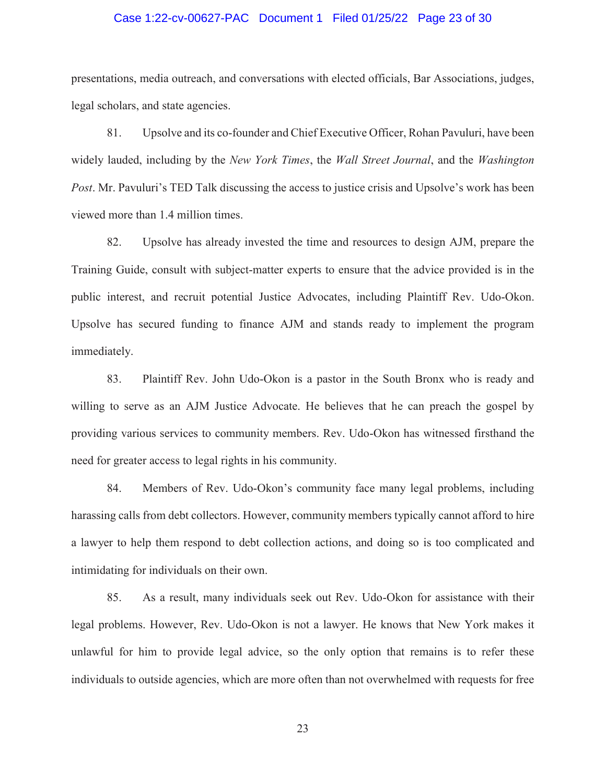## Case 1:22-cv-00627-PAC Document 1 Filed 01/25/22 Page 23 of 30

presentations, media outreach, and conversations with elected officials, Bar Associations, judges, legal scholars, and state agencies.

81. Upsolve and its co-founder and Chief Executive Officer, Rohan Pavuluri, have been widely lauded, including by the *New York Times*, the *Wall Street Journal*, and the *Washington Post*. Mr. Pavuluri's TED Talk discussing the access to justice crisis and Upsolve's work has been viewed more than 1.4 million times.

82. Upsolve has already invested the time and resources to design AJM, prepare the Training Guide, consult with subject-matter experts to ensure that the advice provided is in the public interest, and recruit potential Justice Advocates, including Plaintiff Rev. Udo-Okon. Upsolve has secured funding to finance AJM and stands ready to implement the program immediately.

83. Plaintiff Rev. John Udo-Okon is a pastor in the South Bronx who is ready and willing to serve as an AJM Justice Advocate. He believes that he can preach the gospel by providing various services to community members. Rev. Udo-Okon has witnessed firsthand the need for greater access to legal rights in his community.

84. Members of Rev. Udo-Okon's community face many legal problems, including harassing calls from debt collectors. However, community members typically cannot afford to hire a lawyer to help them respond to debt collection actions, and doing so is too complicated and intimidating for individuals on their own.

85. As a result, many individuals seek out Rev. Udo-Okon for assistance with their legal problems. However, Rev. Udo-Okon is not a lawyer. He knows that New York makes it unlawful for him to provide legal advice, so the only option that remains is to refer these individuals to outside agencies, which are more often than not overwhelmed with requests for free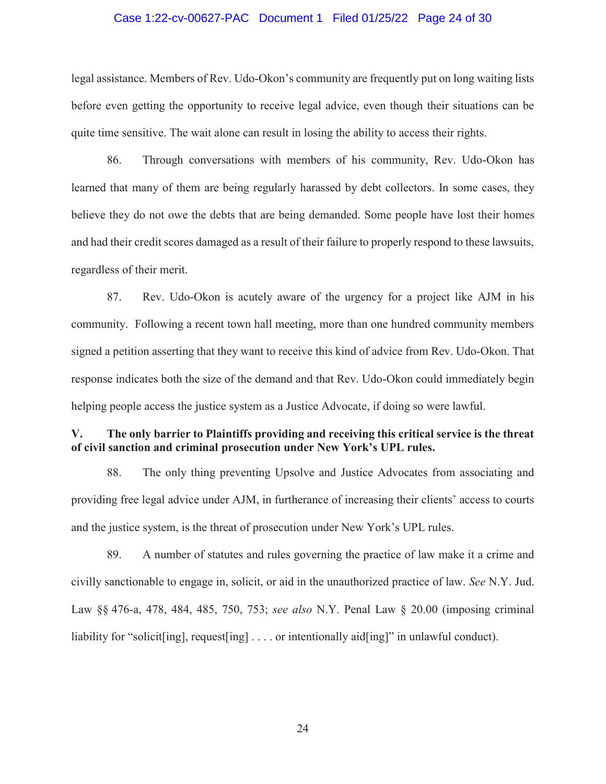#### Case 1:22-cv-00627-PAC Document 1 Filed 01/25/22 Page 24 of 30

legal assistance. Members of Rev. Udo-Okon's community are frequently put on long waiting lists before even getting the opportunity to receive legal advice, even though their situations can be quite time sensitive. The wait alone can result in losing the ability to access their rights.

86. Through conversations with members of his community, Rev. Udo-Okon has learned that many of them are being regularly harassed by debt collectors. In some cases, they believe they do not owe the debts that are being demanded. Some people have lost their homes and had their credit scores damaged as a result of their failure to properly respond to these lawsuits, regardless of their merit.

87. Rev. Udo-Okon is acutely aware of the urgency for a project like AJM in his community. Following a recent town hall meeting, more than one hundred community members signed a petition asserting that they want to receive this kind of advice from Rev. Udo-Okon. That response indicates both the size of the demand and that Rev. Udo-Okon could immediately begin helping people access the justice system as a Justice Advocate, if doing so were lawful.

## **V. The only barrier to Plaintiffs providing and receiving this critical service is the threat of civil sanction and criminal prosecution under New York's UPL rules.**

88. The only thing preventing Upsolve and Justice Advocates from associating and providing free legal advice under AJM, in furtherance of increasing their clients' access to courts and the justice system, is the threat of prosecution under New York's UPL rules.

89. A number of statutes and rules governing the practice of law make it a crime and civilly sanctionable to engage in, solicit, or aid in the unauthorized practice of law. *See* N.Y. Jud. Law §§ 476-a, 478, 484, 485, 750, 753; *see also* N.Y. Penal Law § 20.00 (imposing criminal liability for "solicit[ing], request[ing] . . . . or intentionally aid[ing]" in unlawful conduct).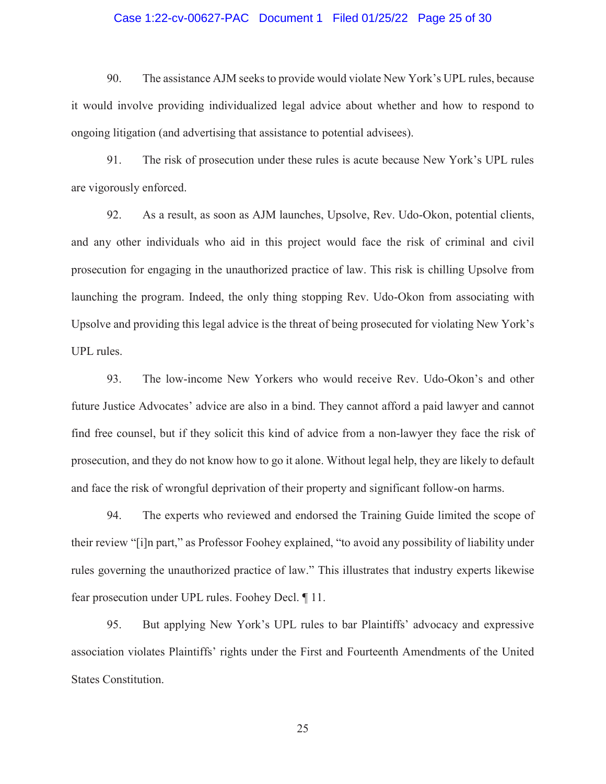#### Case 1:22-cv-00627-PAC Document 1 Filed 01/25/22 Page 25 of 30

90. The assistance AJM seeks to provide would violate New York's UPL rules, because it would involve providing individualized legal advice about whether and how to respond to ongoing litigation (and advertising that assistance to potential advisees).

91. The risk of prosecution under these rules is acute because New York's UPL rules are vigorously enforced.

92. As a result, as soon as AJM launches, Upsolve, Rev. Udo-Okon, potential clients, and any other individuals who aid in this project would face the risk of criminal and civil prosecution for engaging in the unauthorized practice of law. This risk is chilling Upsolve from launching the program. Indeed, the only thing stopping Rev. Udo-Okon from associating with Upsolve and providing this legal advice is the threat of being prosecuted for violating New York's UPL rules.

93. The low-income New Yorkers who would receive Rev. Udo-Okon's and other future Justice Advocates' advice are also in a bind. They cannot afford a paid lawyer and cannot find free counsel, but if they solicit this kind of advice from a non-lawyer they face the risk of prosecution, and they do not know how to go it alone. Without legal help, they are likely to default and face the risk of wrongful deprivation of their property and significant follow-on harms.

94. The experts who reviewed and endorsed the Training Guide limited the scope of their review "[i]n part," as Professor Foohey explained, "to avoid any possibility of liability under rules governing the unauthorized practice of law." This illustrates that industry experts likewise fear prosecution under UPL rules. Foohey Decl. ¶ 11.

95. But applying New York's UPL rules to bar Plaintiffs' advocacy and expressive association violates Plaintiffs' rights under the First and Fourteenth Amendments of the United States Constitution.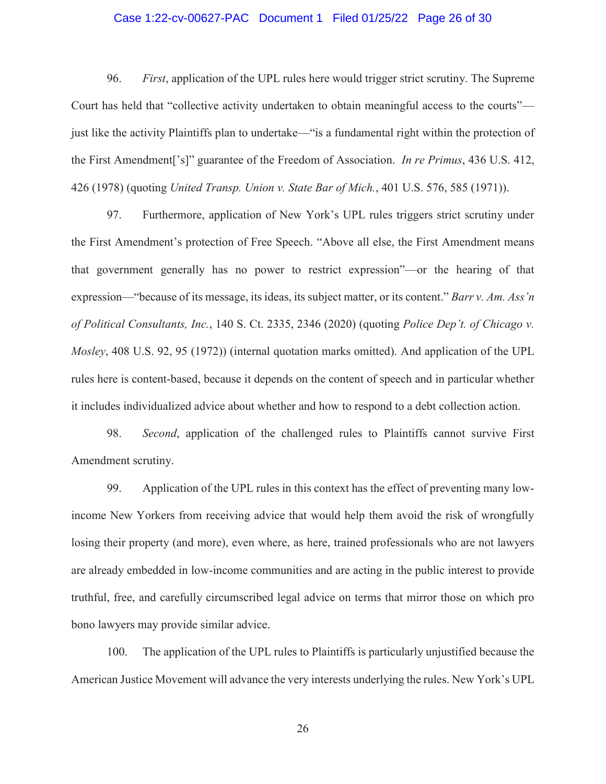#### Case 1:22-cv-00627-PAC Document 1 Filed 01/25/22 Page 26 of 30

96. *First*, application of the UPL rules here would trigger strict scrutiny. The Supreme Court has held that "collective activity undertaken to obtain meaningful access to the courts" just like the activity Plaintiffs plan to undertake—"is a fundamental right within the protection of the First Amendment['s]" guarantee of the Freedom of Association. *In re Primus*, 436 U.S. 412, 426 (1978) (quoting *United Transp. Union v. State Bar of Mich.*, 401 U.S. 576, 585 (1971)).

97. Furthermore, application of New York's UPL rules triggers strict scrutiny under the First Amendment's protection of Free Speech. "Above all else, the First Amendment means that government generally has no power to restrict expression"—or the hearing of that expression—"because of its message, its ideas, its subject matter, or its content." *Barr v. Am. Ass'n of Political Consultants, Inc.*, 140 S. Ct. 2335, 2346 (2020) (quoting *Police Dep't. of Chicago v. Mosley*, 408 U.S. 92, 95 (1972)) (internal quotation marks omitted). And application of the UPL rules here is content-based, because it depends on the content of speech and in particular whether it includes individualized advice about whether and how to respond to a debt collection action.

98. *Second*, application of the challenged rules to Plaintiffs cannot survive First Amendment scrutiny.

99. Application of the UPL rules in this context has the effect of preventing many lowincome New Yorkers from receiving advice that would help them avoid the risk of wrongfully losing their property (and more), even where, as here, trained professionals who are not lawyers are already embedded in low-income communities and are acting in the public interest to provide truthful, free, and carefully circumscribed legal advice on terms that mirror those on which pro bono lawyers may provide similar advice.

100. The application of the UPL rules to Plaintiffs is particularly unjustified because the American Justice Movement will advance the very interests underlying the rules. New York's UPL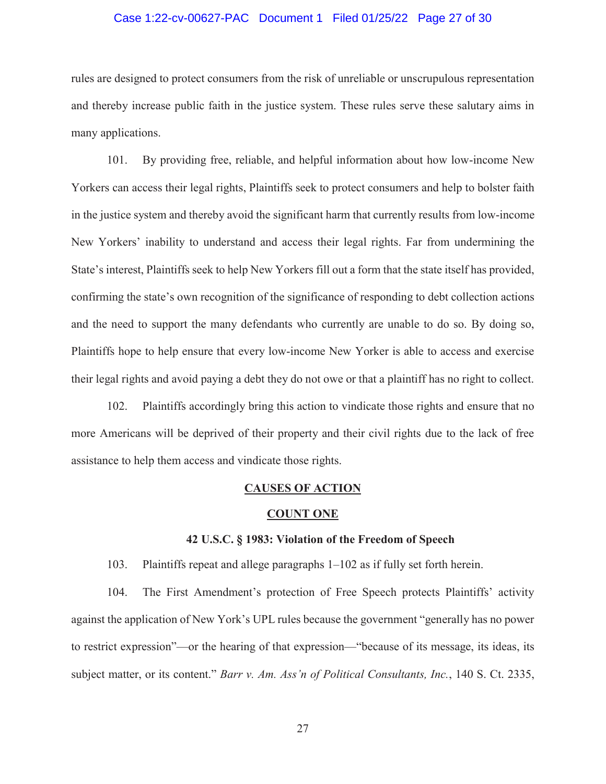#### Case 1:22-cv-00627-PAC Document 1 Filed 01/25/22 Page 27 of 30

rules are designed to protect consumers from the risk of unreliable or unscrupulous representation and thereby increase public faith in the justice system. These rules serve these salutary aims in many applications.

101. By providing free, reliable, and helpful information about how low-income New Yorkers can access their legal rights, Plaintiffs seek to protect consumers and help to bolster faith in the justice system and thereby avoid the significant harm that currently results from low-income New Yorkers' inability to understand and access their legal rights. Far from undermining the State's interest, Plaintiffs seek to help New Yorkers fill out a form that the state itself has provided, confirming the state's own recognition of the significance of responding to debt collection actions and the need to support the many defendants who currently are unable to do so. By doing so, Plaintiffs hope to help ensure that every low-income New Yorker is able to access and exercise their legal rights and avoid paying a debt they do not owe or that a plaintiff has no right to collect.

102. Plaintiffs accordingly bring this action to vindicate those rights and ensure that no more Americans will be deprived of their property and their civil rights due to the lack of free assistance to help them access and vindicate those rights.

#### **CAUSES OF ACTION**

#### **COUNT ONE**

### **42 U.S.C. § 1983: Violation of the Freedom of Speech**

103. Plaintiffs repeat and allege paragraphs 1–102 as if fully set forth herein.

104. The First Amendment's protection of Free Speech protects Plaintiffs' activity against the application of New York's UPL rules because the government "generally has no power to restrict expression"—or the hearing of that expression—"because of its message, its ideas, its subject matter, or its content." *Barr v. Am. Ass'n of Political Consultants, Inc.*, 140 S. Ct. 2335,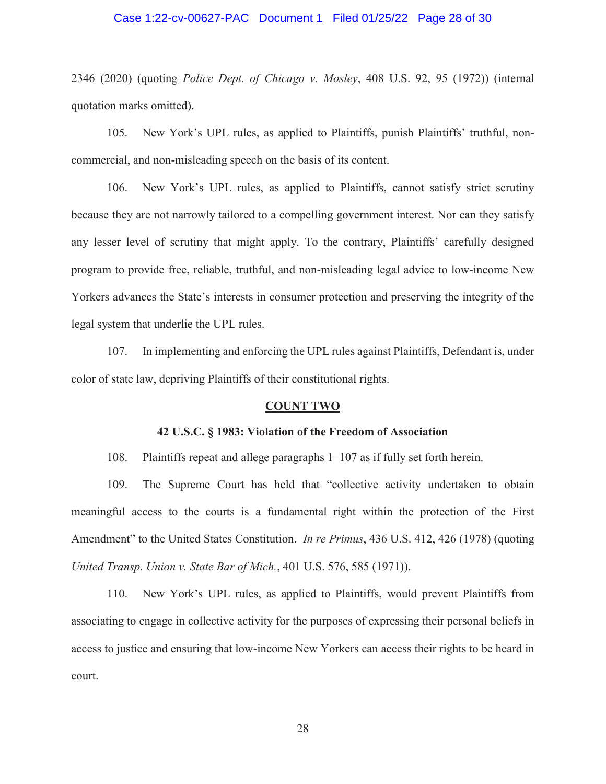#### Case 1:22-cv-00627-PAC Document 1 Filed 01/25/22 Page 28 of 30

2346 (2020) (quoting *Police Dept. of Chicago v. Mosley*, 408 U.S. 92, 95 (1972)) (internal quotation marks omitted).

105. New York's UPL rules, as applied to Plaintiffs, punish Plaintiffs' truthful, noncommercial, and non-misleading speech on the basis of its content.

106. New York's UPL rules, as applied to Plaintiffs, cannot satisfy strict scrutiny because they are not narrowly tailored to a compelling government interest. Nor can they satisfy any lesser level of scrutiny that might apply. To the contrary, Plaintiffs' carefully designed program to provide free, reliable, truthful, and non-misleading legal advice to low-income New Yorkers advances the State's interests in consumer protection and preserving the integrity of the legal system that underlie the UPL rules.

107. In implementing and enforcing the UPL rules against Plaintiffs, Defendant is, under color of state law, depriving Plaintiffs of their constitutional rights.

#### **COUNT TWO**

#### **42 U.S.C. § 1983: Violation of the Freedom of Association**

108. Plaintiffs repeat and allege paragraphs 1–107 as if fully set forth herein.

109. The Supreme Court has held that "collective activity undertaken to obtain meaningful access to the courts is a fundamental right within the protection of the First Amendment" to the United States Constitution. *In re Primus*, 436 U.S. 412, 426 (1978) (quoting *United Transp. Union v. State Bar of Mich.*, 401 U.S. 576, 585 (1971)).

110. New York's UPL rules, as applied to Plaintiffs, would prevent Plaintiffs from associating to engage in collective activity for the purposes of expressing their personal beliefs in access to justice and ensuring that low-income New Yorkers can access their rights to be heard in court.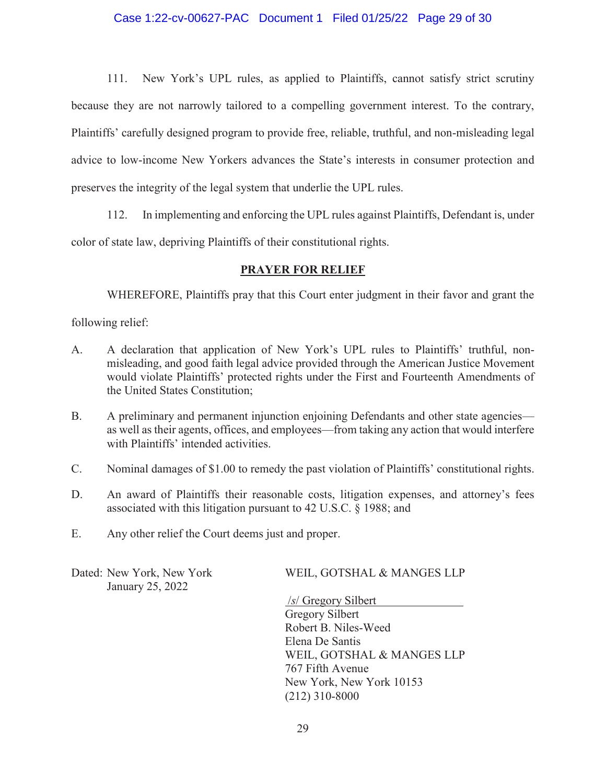111. New York's UPL rules, as applied to Plaintiffs, cannot satisfy strict scrutiny because they are not narrowly tailored to a compelling government interest. To the contrary, Plaintiffs' carefully designed program to provide free, reliable, truthful, and non-misleading legal advice to low-income New Yorkers advances the State's interests in consumer protection and preserves the integrity of the legal system that underlie the UPL rules.

112. In implementing and enforcing the UPL rules against Plaintiffs, Defendant is, under color of state law, depriving Plaintiffs of their constitutional rights.

## **PRAYER FOR RELIEF**

WHEREFORE, Plaintiffs pray that this Court enter judgment in their favor and grant the

following relief:

- A. A declaration that application of New York's UPL rules to Plaintiffs' truthful, nonmisleading, and good faith legal advice provided through the American Justice Movement would violate Plaintiffs' protected rights under the First and Fourteenth Amendments of the United States Constitution;
- B. A preliminary and permanent injunction enjoining Defendants and other state agencies as well as their agents, offices, and employees—from taking any action that would interfere with Plaintiffs' intended activities.
- C. Nominal damages of \$1.00 to remedy the past violation of Plaintiffs' constitutional rights.
- D. An award of Plaintiffs their reasonable costs, litigation expenses, and attorney's fees associated with this litigation pursuant to 42 U.S.C. § 1988; and
- E. Any other relief the Court deems just and proper.

January 25, 2022

# Dated: New York, New York WEIL, GOTSHAL & MANGES LLP

 /*s*/ Gregory Silbert Gregory Silbert Robert B. Niles-Weed Elena De Santis WEIL, GOTSHAL & MANGES LLP 767 Fifth Avenue New York, New York 10153 (212) 310-8000